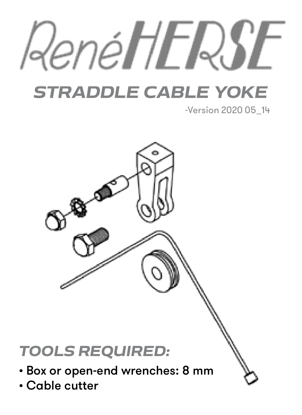

# *STRADDLE CABLE YOKE*

-Version 2020 05\_14

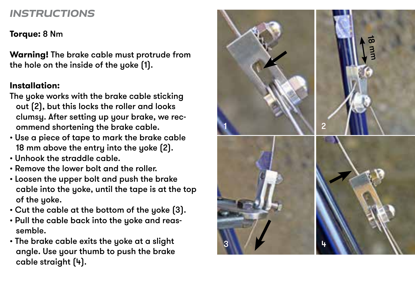## *INSTRUCTIONS*

#### **Torque:** 8 Nm

**Warning!** The brake cable must protrude from the hole on the inside of the yoke (1).

#### **Installation:**

- The yoke works with the brake cable sticking out (2), but this locks the roller and looks clumsy. After setting up your brake, we rec ommend shortening the brake cable.
- Use a piece of tape to mark the brake cable 18 mm above the entry into the yoke (2).
- Unhook the straddle cable.
- Remove the lower bolt and the roller.
- Loosen the upper bolt and push the brake cable into the yoke, until the tape is at the top of the yoke.
- Cut the cable at the bottom of the yoke (3).
- Pull the cable back into the yoke and reas semble.
- The brake cable exits the yoke at a slight angle. Use your thumb to push the brake cable straight (4).